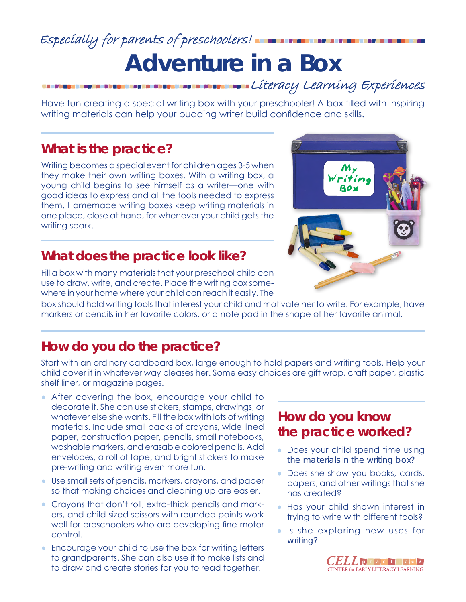### Especially for parents of preschoolers!

## **Adventure in a Box** Literacy Learning Experiences

Have fun creating a special writing box with your preschooler! A box filled with inspiring writing materials can help your budding writer build confidence and skills.

#### **What is the practice?**

Writing becomes a special event for children ages 3-5 when they make their own writing boxes. With a writing box, a young child begins to see himself as a writer—one with good ideas to express and all the tools needed to express them. Homemade writing boxes keep writing materials in one place, close at hand, for whenever your child gets the writing spark.

#### **What does the practice look like?**

Fill a box with many materials that your preschool child can use to draw, write, and create. Place the writing box somewhere in your home where your child can reach it easily. The

box should hold writing tools that interest your child and motivate her to write. For example, have markers or pencils in her favorite colors, or a note pad in the shape of her favorite animal.

#### **How do you do the practice?**

Start with an ordinary cardboard box, large enough to hold papers and writing tools. Help your child cover it in whatever way pleases her. Some easy choices are gift wrap, craft paper, plastic shelf liner, or magazine pages.

- After covering the box, encourage your child to decorate it. She can use stickers, stamps, drawings, or whatever else she wants. Fill the box with lots of writing materials. Include small packs of crayons, wide lined paper, construction paper, pencils, small notebooks, washable markers, and erasable colored pencils. Add envelopes, a roll of tape, and bright stickers to make pre-writing and writing even more fun.
- Use small sets of pencils, markers, crayons, and paper so that making choices and cleaning up are easier.
- Crayons that don't roll, extra-thick pencils and markers, and child-sized scissors with rounded points work well for preschoolers who are developing fine-motor control.
- Encourage your child to use the box for writing letters to grandparents. She can also use it to make lists and to draw and create stories for you to read together.

#### **How do you know the practice worked?**

- Does your child spend time using the materials in the writing box?
- Does she show you books, cards, papers, and other writings that she has created?
- Has your child shown interest in trying to write with different tools?
- Is she exploring new uses for writing?